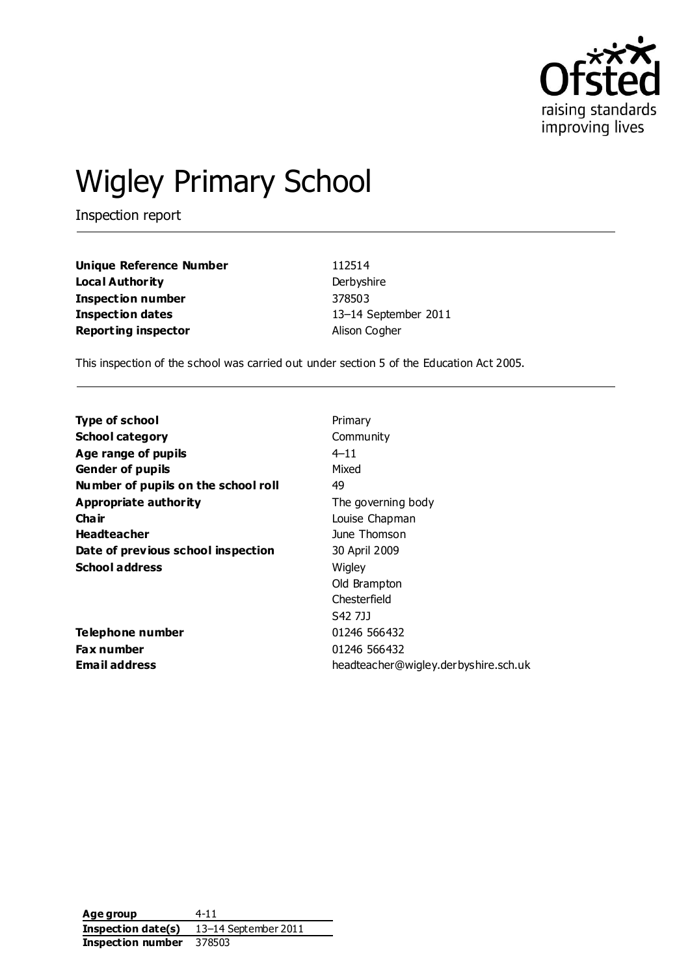

# Wigley Primary School

Inspection report

**Unique Reference Number** 112514 **Local Authority** Derbyshire **Inspection number** 378503 **Inspection dates** 13–14 September 2011 **Reporting inspector Alison Cogher** 

This inspection of the school was carried out under section 5 of the Education Act 2005.

| <b>Type of school</b>               | Primary                              |
|-------------------------------------|--------------------------------------|
| <b>School category</b>              | Community                            |
| Age range of pupils                 | $4 - 11$                             |
| <b>Gender of pupils</b>             | Mixed                                |
| Number of pupils on the school roll | 49                                   |
| Appropriate authority               | The governing body                   |
| Cha ir                              | Louise Chapman                       |
| <b>Headteacher</b>                  | June Thomson                         |
| Date of previous school inspection  | 30 April 2009                        |
| <b>School address</b>               | Wigley                               |
|                                     | Old Brampton                         |
|                                     | Chesterfield                         |
|                                     | S42 7JJ                              |
| Telephone number                    | 01246 566432                         |
| <b>Fax number</b>                   | 01246 566432                         |
| <b>Email address</b>                | headteacher@wigley.derbyshire.sch.uk |

Age group 4-11 **Inspection date(s)** 13–14 September 2011 **Inspection number** 378503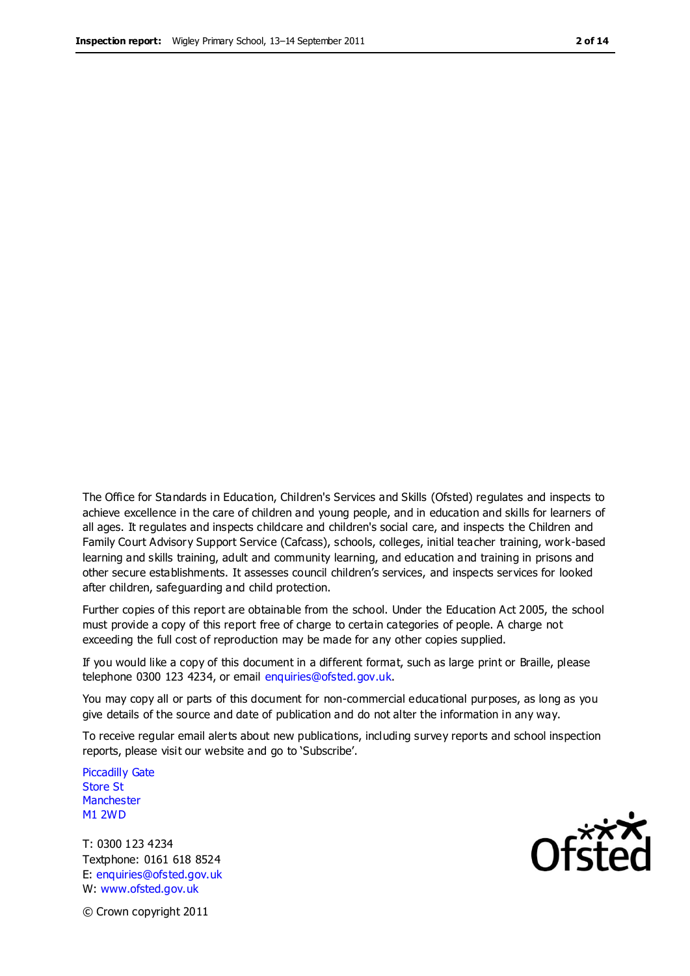The Office for Standards in Education, Children's Services and Skills (Ofsted) regulates and inspects to achieve excellence in the care of children and young people, and in education and skills for learners of all ages. It regulates and inspects childcare and children's social care, and inspects the Children and Family Court Advisory Support Service (Cafcass), schools, colleges, initial teacher training, work-based learning and skills training, adult and community learning, and education and training in prisons and other secure establishments. It assesses council children's services, and inspects services for looked after children, safeguarding and child protection.

Further copies of this report are obtainable from the school. Under the Education Act 2005, the school must provide a copy of this report free of charge to certain categories of people. A charge not exceeding the full cost of reproduction may be made for any other copies supplied.

If you would like a copy of this document in a different format, such as large print or Braille, please telephone 0300 123 4234, or email enquiries@ofsted.gov.uk.

You may copy all or parts of this document for non-commercial educational purposes, as long as you give details of the source and date of publication and do not alter the information in any way.

To receive regular email alerts about new publications, including survey reports and school inspection reports, please visit our website and go to 'Subscribe'.

Piccadilly Gate Store St **Manchester** M1 2WD

T: 0300 123 4234 Textphone: 0161 618 8524 E: enquiries@ofsted.gov.uk W: www.ofsted.gov.uk

© Crown copyright 2011

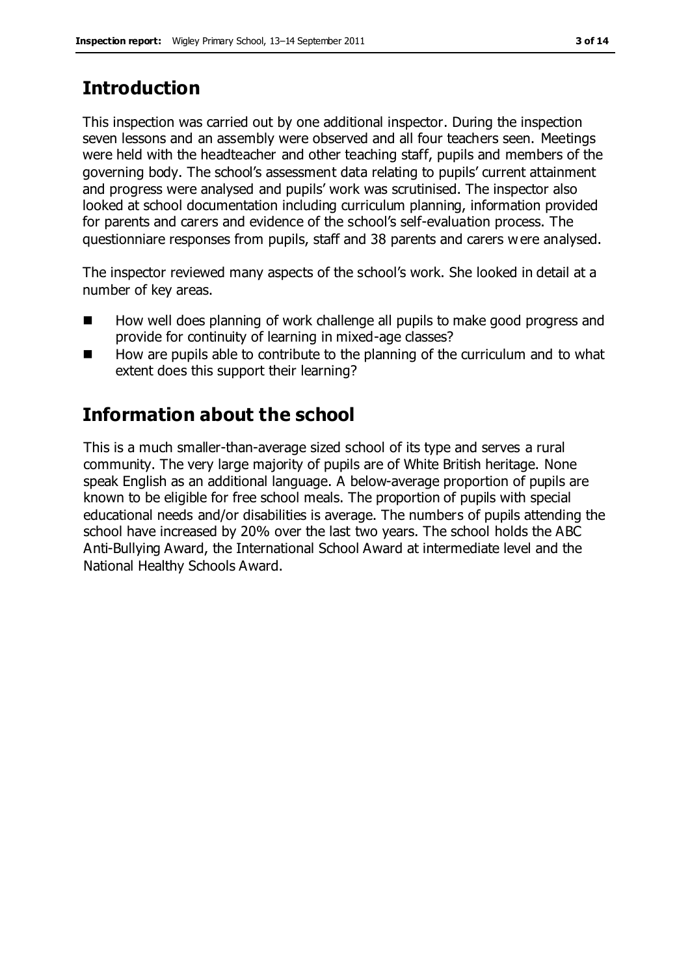# **Introduction**

This inspection was carried out by one additional inspector. During the inspection seven lessons and an assembly were observed and all four teachers seen. Meetings were held with the headteacher and other teaching staff, pupils and members of the governing body. The school's assessment data relating to pupils' current attainment and progress were analysed and pupils' work was scrutinised. The inspector also looked at school documentation including curriculum planning, information provided for parents and carers and evidence of the school's self-evaluation process. The questionniare responses from pupils, staff and 38 parents and carers were analysed.

The inspector reviewed many aspects of the school's work. She looked in detail at a number of key areas.

- How well does planning of work challenge all pupils to make good progress and provide for continuity of learning in mixed-age classes?
- How are pupils able to contribute to the planning of the curriculum and to what extent does this support their learning?

# **Information about the school**

This is a much smaller-than-average sized school of its type and serves a rural community. The very large majority of pupils are of White British heritage. None speak English as an additional language. A below-average proportion of pupils are known to be eligible for free school meals. The proportion of pupils with special educational needs and/or disabilities is average. The numbers of pupils attending the school have increased by 20% over the last two years. The school holds the ABC Anti-Bullying Award, the International School Award at intermediate level and the National Healthy Schools Award.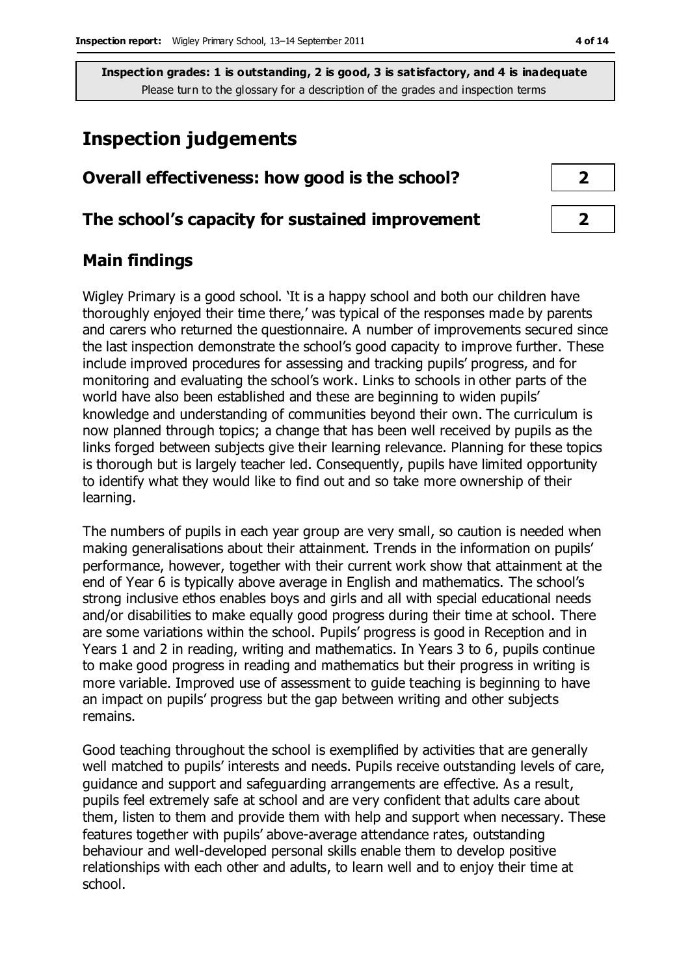## **Inspection judgements**

| Overall effectiveness: how good is the school?  |  |  |
|-------------------------------------------------|--|--|
| The school's capacity for sustained improvement |  |  |

#### **Main findings**

Wigley Primary is a good school. 'It is a happy school and both our children have thoroughly enjoyed their time there,' was typical of the responses made by parents and carers who returned the questionnaire. A number of improvements secured since the last inspection demonstrate the school's good capacity to improve further. These include improved procedures for assessing and tracking pupils' progress, and for monitoring and evaluating the school's work. Links to schools in other parts of the world have also been established and these are beginning to widen pupils' knowledge and understanding of communities beyond their own. The curriculum is now planned through topics; a change that has been well received by pupils as the links forged between subjects give their learning relevance. Planning for these topics is thorough but is largely teacher led. Consequently, pupils have limited opportunity to identify what they would like to find out and so take more ownership of their learning.

The numbers of pupils in each year group are very small, so caution is needed when making generalisations about their attainment. Trends in the information on pupils' performance, however, together with their current work show that attainment at the end of Year 6 is typically above average in English and mathematics. The school's strong inclusive ethos enables boys and girls and all with special educational needs and/or disabilities to make equally good progress during their time at school. There are some variations within the school. Pupils' progress is good in Reception and in Years 1 and 2 in reading, writing and mathematics. In Years 3 to 6, pupils continue to make good progress in reading and mathematics but their progress in writing is more variable. Improved use of assessment to guide teaching is beginning to have an impact on pupils' progress but the gap between writing and other subjects remains.

Good teaching throughout the school is exemplified by activities that are generally well matched to pupils' interests and needs. Pupils receive outstanding levels of care, guidance and support and safeguarding arrangements are effective. As a result, pupils feel extremely safe at school and are very confident that adults care about them, listen to them and provide them with help and support when necessary. These features together with pupils' above-average attendance rates, outstanding behaviour and well-developed personal skills enable them to develop positive relationships with each other and adults, to learn well and to enjoy their time at school.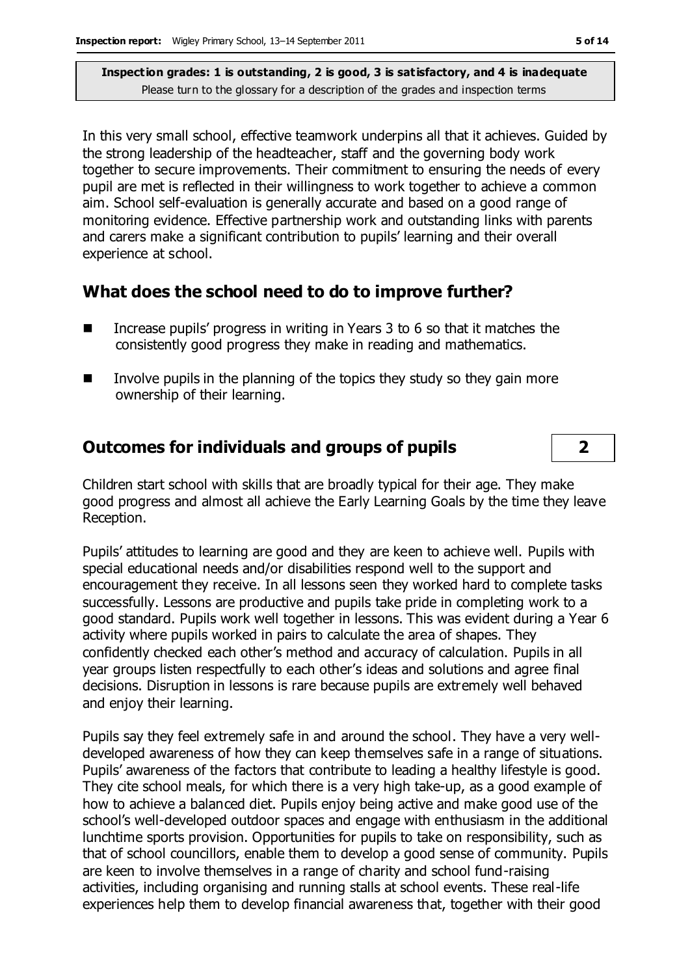In this very small school, effective teamwork underpins all that it achieves. Guided by the strong leadership of the headteacher, staff and the governing body work together to secure improvements. Their commitment to ensuring the needs of every pupil are met is reflected in their willingness to work together to achieve a common aim. School self-evaluation is generally accurate and based on a good range of monitoring evidence. Effective partnership work and outstanding links with parents and carers make a significant contribution to pupils' learning and their overall experience at school.

#### **What does the school need to do to improve further?**

- Increase pupils' progress in writing in Years  $3$  to  $6$  so that it matches the consistently good progress they make in reading and mathematics.
- Involve pupils in the planning of the topics they study so they gain more ownership of their learning.

### **Outcomes for individuals and groups of pupils 2**

Children start school with skills that are broadly typical for their age. They make good progress and almost all achieve the Early Learning Goals by the time they leave Reception.

Pupils' attitudes to learning are good and they are keen to achieve well. Pupils with special educational needs and/or disabilities respond well to the support and encouragement they receive. In all lessons seen they worked hard to complete tasks successfully. Lessons are productive and pupils take pride in completing work to a good standard. Pupils work well together in lessons. This was evident during a Year 6 activity where pupils worked in pairs to calculate the area of shapes. They confidently checked each other's method and accuracy of calculation. Pupils in all year groups listen respectfully to each other's ideas and solutions and agree final decisions. Disruption in lessons is rare because pupils are extremely well behaved and enjoy their learning.

Pupils say they feel extremely safe in and around the school. They have a very welldeveloped awareness of how they can keep themselves safe in a range of situations. Pupils' awareness of the factors that contribute to leading a healthy lifestyle is good. They cite school meals, for which there is a very high take-up, as a good example of how to achieve a balanced diet. Pupils enjoy being active and make good use of the school's well-developed outdoor spaces and engage with enthusiasm in the additional lunchtime sports provision. Opportunities for pupils to take on responsibility, such as that of school councillors, enable them to develop a good sense of community. Pupils are keen to involve themselves in a range of charity and school fund-raising activities, including organising and running stalls at school events. These real-life experiences help them to develop financial awareness that, together with their good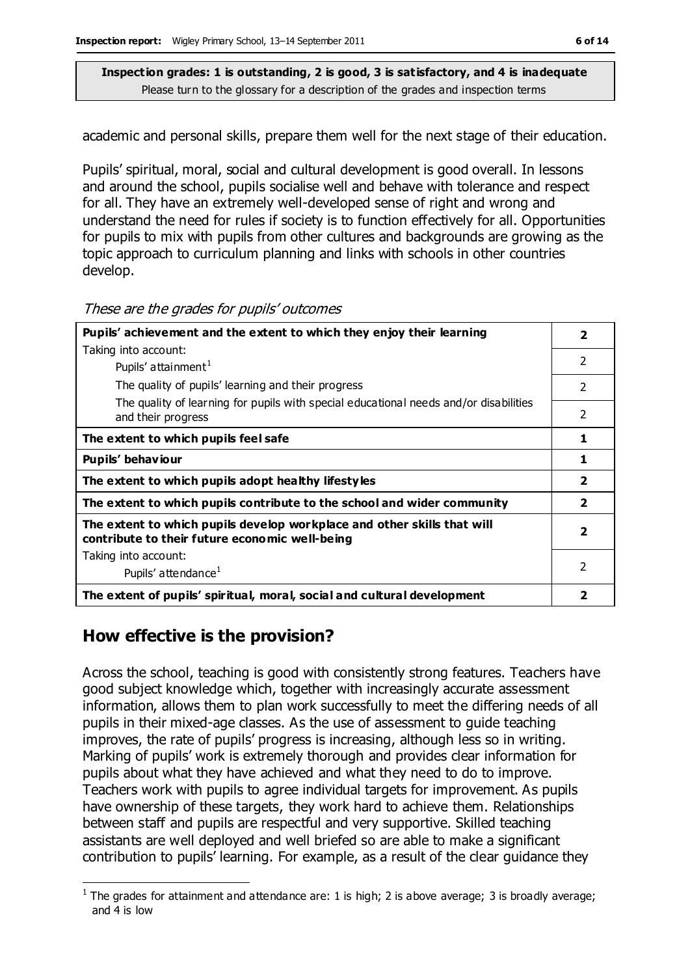academic and personal skills, prepare them well for the next stage of their education.

Pupils' spiritual, moral, social and cultural development is good overall. In lessons and around the school, pupils socialise well and behave with tolerance and respect for all. They have an extremely well-developed sense of right and wrong and understand the need for rules if society is to function effectively for all. Opportunities for pupils to mix with pupils from other cultures and backgrounds are growing as the topic approach to curriculum planning and links with schools in other countries develop.

#### These are the grades for pupils' outcomes

| Pupils' achievement and the extent to which they enjoy their learning                                                     |                          |
|---------------------------------------------------------------------------------------------------------------------------|--------------------------|
| Taking into account:                                                                                                      |                          |
| Pupils' attainment <sup>1</sup>                                                                                           | $\overline{\phantom{a}}$ |
| The quality of pupils' learning and their progress                                                                        | $\overline{\phantom{a}}$ |
| The quality of learning for pupils with special educational needs and/or disabilities<br>and their progress               | $\overline{\phantom{a}}$ |
| The extent to which pupils feel safe                                                                                      | 1                        |
| Pupils' behaviour                                                                                                         | 1                        |
| The extent to which pupils adopt healthy lifestyles                                                                       | $\overline{\mathbf{2}}$  |
| The extent to which pupils contribute to the school and wider community                                                   | $\overline{\mathbf{2}}$  |
| The extent to which pupils develop workplace and other skills that will<br>contribute to their future economic well-being | $\overline{\mathbf{2}}$  |
| Taking into account:                                                                                                      |                          |
| Pupils' attendance <sup>1</sup>                                                                                           | $\overline{\phantom{a}}$ |
| The extent of pupils' spiritual, moral, social and cultural development                                                   | 2                        |

#### **How effective is the provision?**

 $\overline{a}$ 

Across the school, teaching is good with consistently strong features. Teachers have good subject knowledge which, together with increasingly accurate assessment information, allows them to plan work successfully to meet the differing needs of all pupils in their mixed-age classes. As the use of assessment to guide teaching improves, the rate of pupils' progress is increasing, although less so in writing. Marking of pupils' work is extremely thorough and provides clear information for pupils about what they have achieved and what they need to do to improve. Teachers work with pupils to agree individual targets for improvement. As pupils have ownership of these targets, they work hard to achieve them. Relationships between staff and pupils are respectful and very supportive. Skilled teaching assistants are well deployed and well briefed so are able to make a significant contribution to pupils' learning. For example, as a result of the clear guidance they

<sup>&</sup>lt;sup>1</sup> The grades for attainment and attendance are: 1 is high; 2 is above average; 3 is broadly average; and 4 is low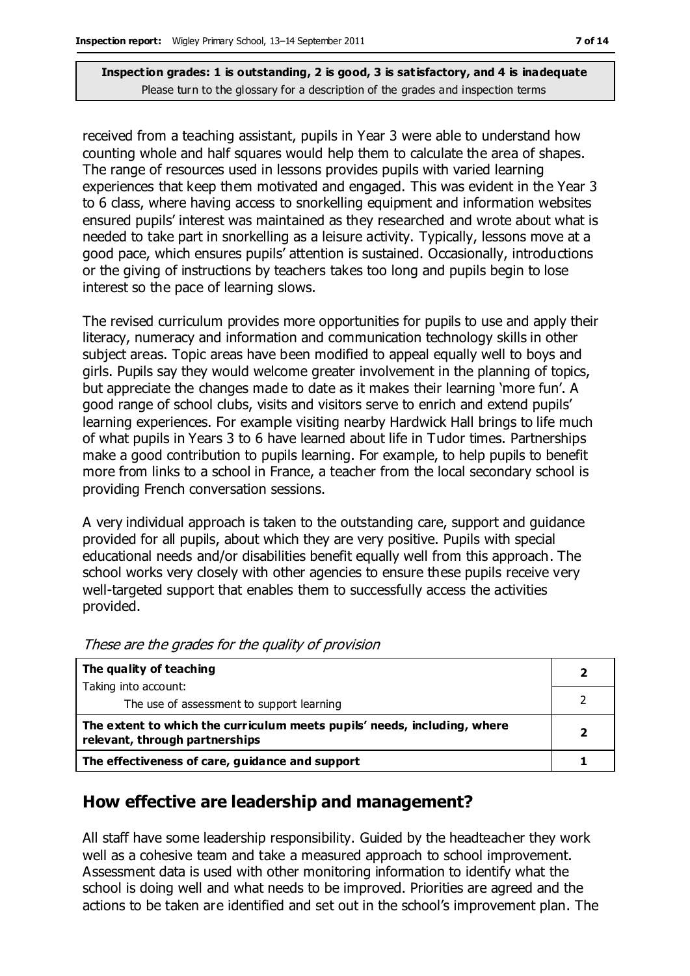received from a teaching assistant, pupils in Year 3 were able to understand how counting whole and half squares would help them to calculate the area of shapes. The range of resources used in lessons provides pupils with varied learning experiences that keep them motivated and engaged. This was evident in the Year 3 to 6 class, where having access to snorkelling equipment and information websites ensured pupils' interest was maintained as they researched and wrote about what is needed to take part in snorkelling as a leisure activity. Typically, lessons move at a good pace, which ensures pupils' attention is sustained. Occasionally, introductions or the giving of instructions by teachers takes too long and pupils begin to lose interest so the pace of learning slows.

The revised curriculum provides more opportunities for pupils to use and apply their literacy, numeracy and information and communication technology skills in other subject areas. Topic areas have been modified to appeal equally well to boys and girls. Pupils say they would welcome greater involvement in the planning of topics, but appreciate the changes made to date as it makes their learning 'more fun'. A good range of school clubs, visits and visitors serve to enrich and extend pupils' learning experiences. For example visiting nearby Hardwick Hall brings to life much of what pupils in Years 3 to 6 have learned about life in Tudor times. Partnerships make a good contribution to pupils learning. For example, to help pupils to benefit more from links to a school in France, a teacher from the local secondary school is providing French conversation sessions.

A very individual approach is taken to the outstanding care, support and guidance provided for all pupils, about which they are very positive. Pupils with special educational needs and/or disabilities benefit equally well from this approach. The school works very closely with other agencies to ensure these pupils receive very well-targeted support that enables them to successfully access the activities provided.

| The quality of teaching                                                                                    |  |
|------------------------------------------------------------------------------------------------------------|--|
| Taking into account:                                                                                       |  |
| The use of assessment to support learning                                                                  |  |
| The extent to which the curriculum meets pupils' needs, including, where<br>relevant, through partnerships |  |
| The effectiveness of care, guidance and support                                                            |  |

These are the grades for the quality of provision

#### **How effective are leadership and management?**

All staff have some leadership responsibility. Guided by the headteacher they work well as a cohesive team and take a measured approach to school improvement. Assessment data is used with other monitoring information to identify what the school is doing well and what needs to be improved. Priorities are agreed and the actions to be taken are identified and set out in the school's improvement plan. The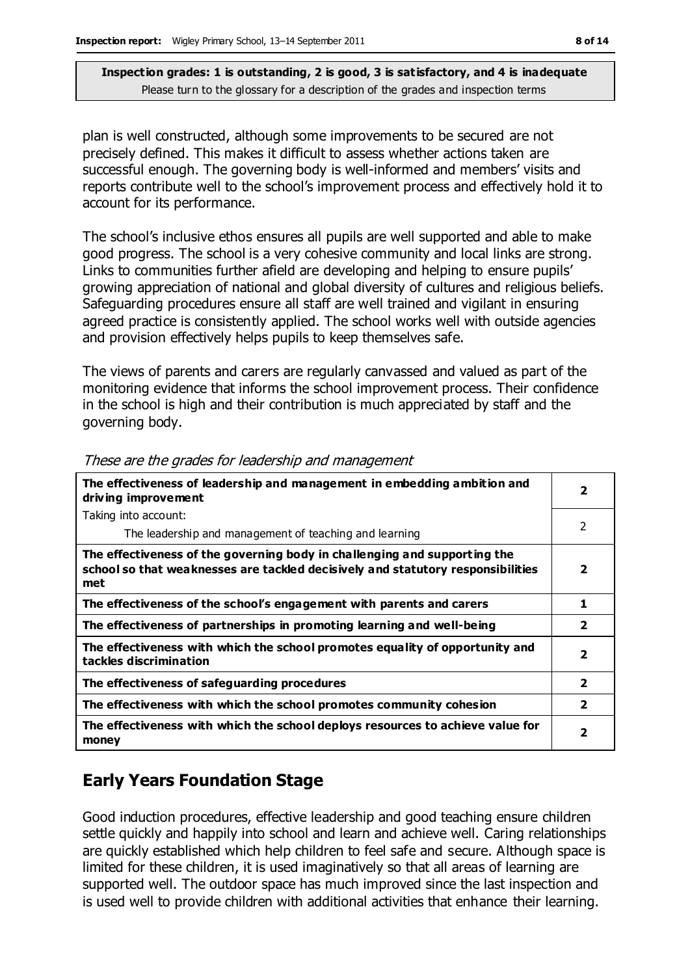plan is well constructed, although some improvements to be secured are not precisely defined. This makes it difficult to assess whether actions taken are successful enough. The governing body is well-informed and members' visits and reports contribute well to the school's improvement process and effectively hold it to account for its performance.

The school's inclusive ethos ensures all pupils are well supported and able to make good progress. The school is a very cohesive community and local links are strong. Links to communities further afield are developing and helping to ensure pupils' growing appreciation of national and global diversity of cultures and religious beliefs. Safeguarding procedures ensure all staff are well trained and vigilant in ensuring agreed practice is consistently applied. The school works well with outside agencies and provision effectively helps pupils to keep themselves safe.

The views of parents and carers are regularly canvassed and valued as part of the monitoring evidence that informs the school improvement process. Their confidence in the school is high and their contribution is much appreciated by staff and the governing body.

| The effectiveness of leadership and management in embedding ambition and<br>driving improvement                                                                     |                         |
|---------------------------------------------------------------------------------------------------------------------------------------------------------------------|-------------------------|
| Taking into account:                                                                                                                                                |                         |
| The leadership and management of teaching and learning                                                                                                              | $\mathcal{P}$           |
| The effectiveness of the governing body in challenging and supporting the<br>school so that weaknesses are tackled decisively and statutory responsibilities<br>met | 2                       |
| The effectiveness of the school's engagement with parents and carers                                                                                                | 1                       |
| The effectiveness of partnerships in promoting learning and well-being                                                                                              | $\overline{\mathbf{2}}$ |
| The effectiveness with which the school promotes equality of opportunity and<br>tackles discrimination                                                              | 2                       |
| The effectiveness of safeguarding procedures                                                                                                                        | $\overline{2}$          |
| The effectiveness with which the school promotes community cohesion                                                                                                 | $\overline{\mathbf{2}}$ |
| The effectiveness with which the school deploys resources to achieve value for<br>money                                                                             | 2                       |

These are the grades for leadership and management

### **Early Years Foundation Stage**

Good induction procedures, effective leadership and good teaching ensure children settle quickly and happily into school and learn and achieve well. Caring relationships are quickly established which help children to feel safe and secure. Although space is limited for these children, it is used imaginatively so that all areas of learning are supported well. The outdoor space has much improved since the last inspection and is used well to provide children with additional activities that enhance their learning.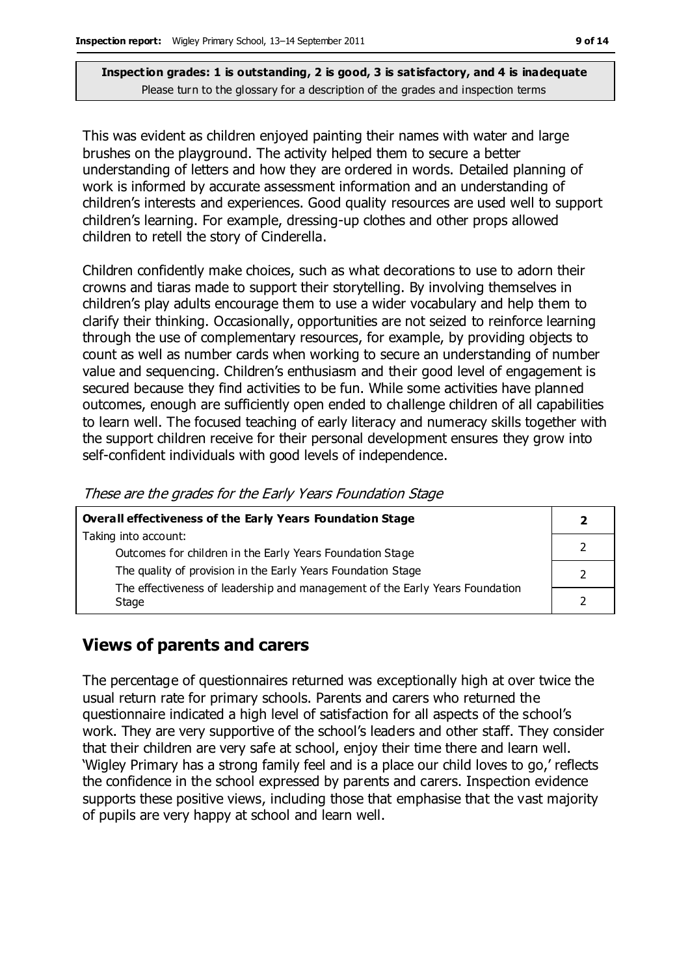This was evident as children enjoyed painting their names with water and large brushes on the playground. The activity helped them to secure a better understanding of letters and how they are ordered in words. Detailed planning of work is informed by accurate assessment information and an understanding of children's interests and experiences. Good quality resources are used well to support children's learning. For example, dressing-up clothes and other props allowed children to retell the story of Cinderella.

Children confidently make choices, such as what decorations to use to adorn their crowns and tiaras made to support their storytelling. By involving themselves in children's play adults encourage them to use a wider vocabulary and help them to clarify their thinking. Occasionally, opportunities are not seized to reinforce learning through the use of complementary resources, for example, by providing objects to count as well as number cards when working to secure an understanding of number value and sequencing. Children's enthusiasm and their good level of engagement is secured because they find activities to be fun. While some activities have planned outcomes, enough are sufficiently open ended to challenge children of all capabilities to learn well. The focused teaching of early literacy and numeracy skills together with the support children receive for their personal development ensures they grow into self-confident individuals with good levels of independence.

These are the grades for the Early Years Foundation Stage

| <b>Overall effectiveness of the Early Years Foundation Stage</b>             |  |
|------------------------------------------------------------------------------|--|
| Taking into account:                                                         |  |
| Outcomes for children in the Early Years Foundation Stage                    |  |
| The quality of provision in the Early Years Foundation Stage                 |  |
| The effectiveness of leadership and management of the Early Years Foundation |  |
| Stage                                                                        |  |

#### **Views of parents and carers**

The percentage of questionnaires returned was exceptionally high at over twice the usual return rate for primary schools. Parents and carers who returned the questionnaire indicated a high level of satisfaction for all aspects of the school's work. They are very supportive of the school's leaders and other staff. They consider that their children are very safe at school, enjoy their time there and learn well. 'Wigley Primary has a strong family feel and is a place our child loves to go,' reflects the confidence in the school expressed by parents and carers. Inspection evidence supports these positive views, including those that emphasise that the vast majority of pupils are very happy at school and learn well.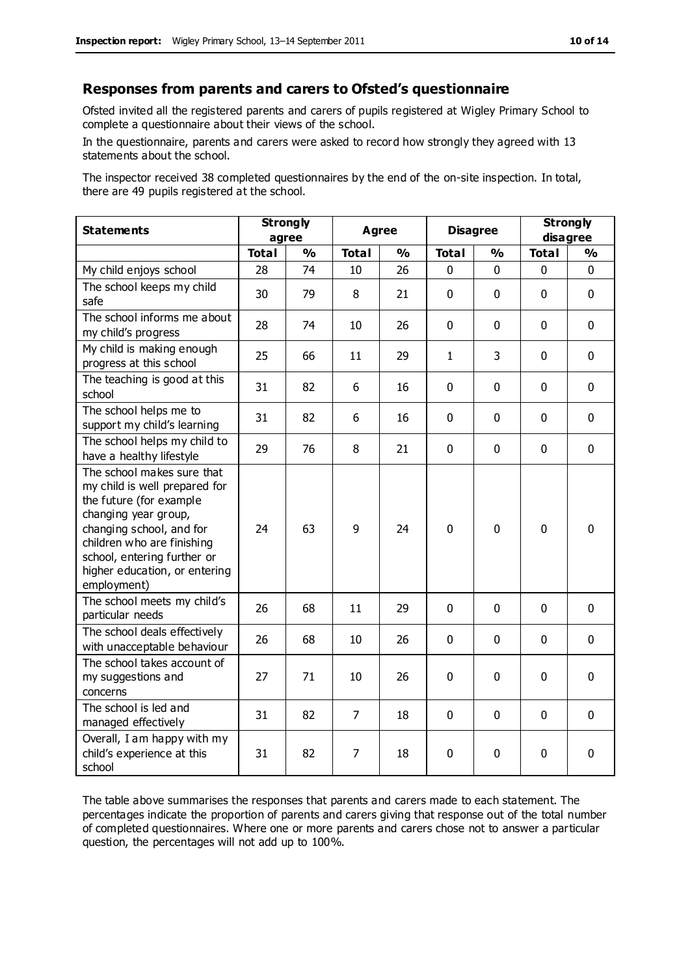#### **Responses from parents and carers to Ofsted's questionnaire**

Ofsted invited all the registered parents and carers of pupils registered at Wigley Primary School to complete a questionnaire about their views of the school.

In the questionnaire, parents and carers were asked to record how strongly they agreed with 13 statements about the school.

The inspector received 38 completed questionnaires by the end of the on-site inspection. In total, there are 49 pupils registered at the school.

| <b>Statements</b>                                                                                                                                                                                                                                       | <b>Strongly</b><br>agree |               | Agree          |               | <b>Disagree</b> |               | <b>Strongly</b><br>disagree |               |
|---------------------------------------------------------------------------------------------------------------------------------------------------------------------------------------------------------------------------------------------------------|--------------------------|---------------|----------------|---------------|-----------------|---------------|-----------------------------|---------------|
|                                                                                                                                                                                                                                                         | <b>Total</b>             | $\frac{1}{2}$ | <b>Total</b>   | $\frac{1}{2}$ | <b>Total</b>    | $\frac{1}{2}$ | <b>Total</b>                | $\frac{1}{2}$ |
| My child enjoys school                                                                                                                                                                                                                                  | 28                       | 74            | 10             | 26            | 0               | $\mathbf 0$   | $\mathbf 0$                 | $\mathbf 0$   |
| The school keeps my child<br>safe                                                                                                                                                                                                                       | 30                       | 79            | 8              | 21            | $\mathbf{0}$    | $\mathbf 0$   | $\mathbf 0$                 | $\mathbf 0$   |
| The school informs me about<br>my child's progress                                                                                                                                                                                                      | 28                       | 74            | 10             | 26            | $\mathbf 0$     | $\mathbf 0$   | $\mathbf 0$                 | $\mathbf 0$   |
| My child is making enough<br>progress at this school                                                                                                                                                                                                    | 25                       | 66            | 11             | 29            | $\mathbf{1}$    | 3             | $\mathbf 0$                 | $\mathbf 0$   |
| The teaching is good at this<br>school                                                                                                                                                                                                                  | 31                       | 82            | 6              | 16            | 0               | $\mathbf 0$   | $\mathbf 0$                 | $\mathbf 0$   |
| The school helps me to<br>support my child's learning                                                                                                                                                                                                   | 31                       | 82            | 6              | 16            | 0               | $\Omega$      | $\Omega$                    | $\mathbf 0$   |
| The school helps my child to<br>have a healthy lifestyle                                                                                                                                                                                                | 29                       | 76            | 8              | 21            | $\pmb{0}$       | $\mathbf 0$   | $\mathbf 0$                 | $\mathbf 0$   |
| The school makes sure that<br>my child is well prepared for<br>the future (for example<br>changing year group,<br>changing school, and for<br>children who are finishing<br>school, entering further or<br>higher education, or entering<br>employment) | 24                       | 63            | 9              | 24            | 0               | $\mathbf 0$   | $\mathbf{0}$                | 0             |
| The school meets my child's<br>particular needs                                                                                                                                                                                                         | 26                       | 68            | 11             | 29            | $\mathbf{0}$    | $\mathbf 0$   | $\mathbf 0$                 | $\mathbf 0$   |
| The school deals effectively<br>with unacceptable behaviour                                                                                                                                                                                             | 26                       | 68            | 10             | 26            | 0               | 0             | $\mathbf 0$                 | $\mathbf 0$   |
| The school takes account of<br>my suggestions and<br>concerns                                                                                                                                                                                           | 27                       | 71            | 10             | 26            | $\mathbf 0$     | $\mathbf 0$   | $\mathbf 0$                 | $\mathbf 0$   |
| The school is led and<br>managed effectively                                                                                                                                                                                                            | 31                       | 82            | $\overline{7}$ | 18            | $\mathbf 0$     | $\mathbf 0$   | $\mathbf 0$                 | $\mathbf 0$   |
| Overall, I am happy with my<br>child's experience at this<br>school                                                                                                                                                                                     | 31                       | 82            | 7              | 18            | 0               | 0             | $\mathbf 0$                 | 0             |

The table above summarises the responses that parents and carers made to each statement. The percentages indicate the proportion of parents and carers giving that response out of the total number of completed questionnaires. Where one or more parents and carers chose not to answer a particular question, the percentages will not add up to 100%.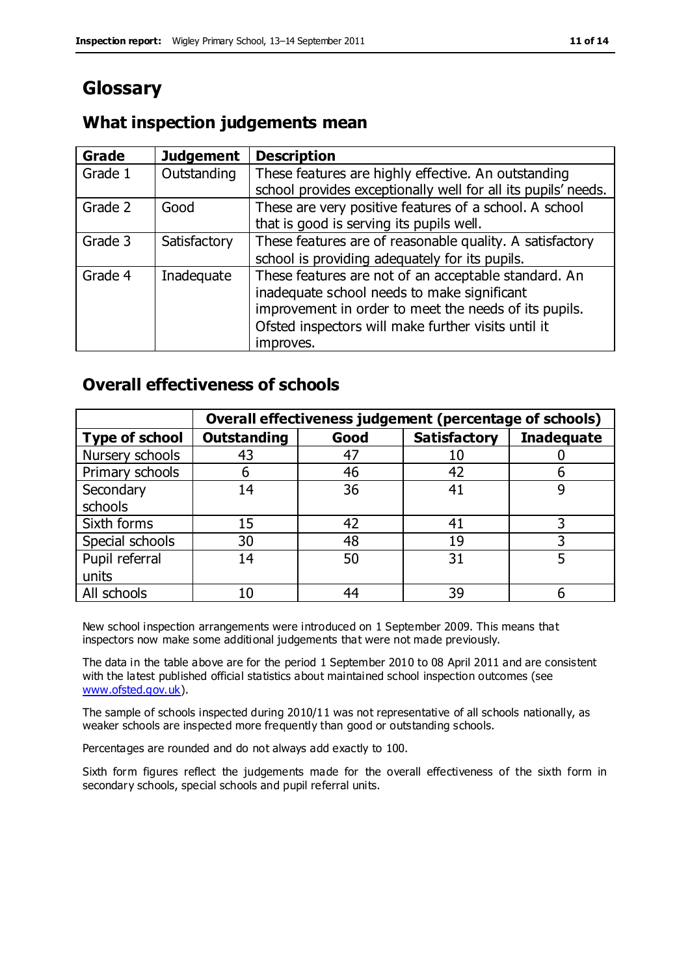# **Glossary**

#### **What inspection judgements mean**

| <b>Grade</b> | <b>Judgement</b> | <b>Description</b>                                                                                                                                                                                                               |
|--------------|------------------|----------------------------------------------------------------------------------------------------------------------------------------------------------------------------------------------------------------------------------|
| Grade 1      | Outstanding      | These features are highly effective. An outstanding<br>school provides exceptionally well for all its pupils' needs.                                                                                                             |
| Grade 2      | Good             | These are very positive features of a school. A school<br>that is good is serving its pupils well.                                                                                                                               |
| Grade 3      | Satisfactory     | These features are of reasonable quality. A satisfactory<br>school is providing adequately for its pupils.                                                                                                                       |
| Grade 4      | Inadequate       | These features are not of an acceptable standard. An<br>inadequate school needs to make significant<br>improvement in order to meet the needs of its pupils.<br>Ofsted inspectors will make further visits until it<br>improves. |

#### **Overall effectiveness of schools**

|                       |                    |      | Overall effectiveness judgement (percentage of schools) |                   |
|-----------------------|--------------------|------|---------------------------------------------------------|-------------------|
| <b>Type of school</b> | <b>Outstanding</b> | Good | <b>Satisfactory</b>                                     | <b>Inadequate</b> |
| Nursery schools       | 43                 | 47   | 10                                                      |                   |
| Primary schools       | 6                  | 46   | 42                                                      |                   |
| Secondary             | 14                 | 36   | 41                                                      |                   |
| schools               |                    |      |                                                         |                   |
| Sixth forms           | 15                 | 42   | 41                                                      | 3                 |
| Special schools       | 30                 | 48   | 19                                                      |                   |
| Pupil referral        | 14                 | 50   | 31                                                      |                   |
| units                 |                    |      |                                                         |                   |
| All schools           | 10                 | 44   | 39                                                      |                   |

New school inspection arrangements were introduced on 1 September 2009. This means that inspectors now make some additional judgements that were not made previously.

The data in the table above are for the period 1 September 2010 to 08 April 2011 and are consistent with the latest published official statistics about maintained school inspection outcomes (see [www.ofsted.gov.uk\)](http://www.ofsted.gov.uk/).

The sample of schools inspected during 2010/11 was not representative of all schools nationally, as weaker schools are inspected more frequently than good or outstanding schools.

Percentages are rounded and do not always add exactly to 100.

Sixth form figures reflect the judgements made for the overall effectiveness of the sixth form in secondary schools, special schools and pupil referral units.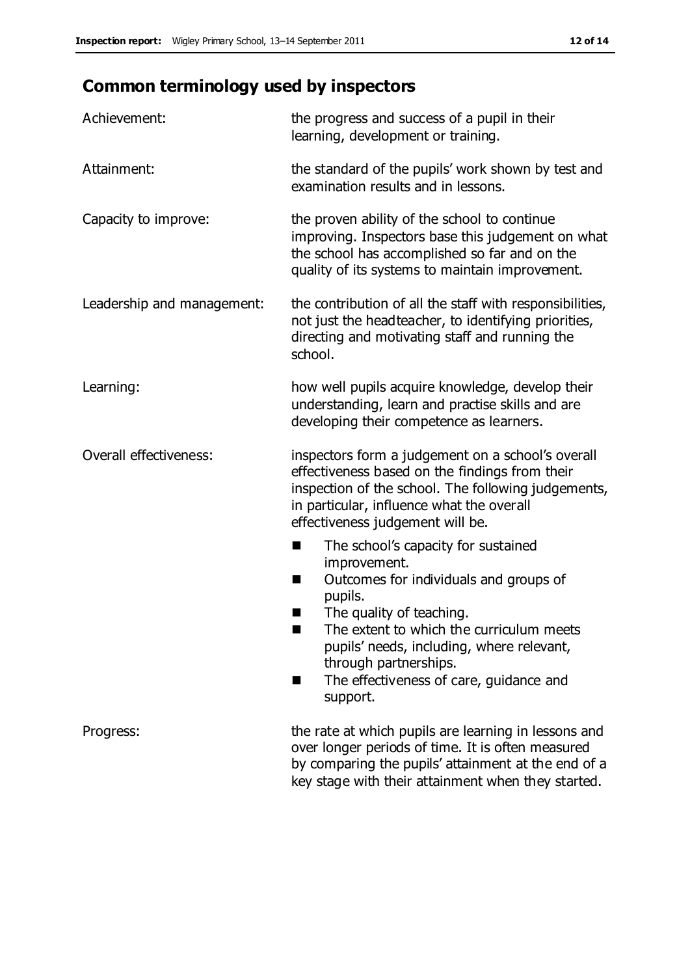# **Common terminology used by inspectors**

| Achievement:                  | the progress and success of a pupil in their<br>learning, development or training.                                                                                                                                                                                                                                      |
|-------------------------------|-------------------------------------------------------------------------------------------------------------------------------------------------------------------------------------------------------------------------------------------------------------------------------------------------------------------------|
| Attainment:                   | the standard of the pupils' work shown by test and<br>examination results and in lessons.                                                                                                                                                                                                                               |
| Capacity to improve:          | the proven ability of the school to continue<br>improving. Inspectors base this judgement on what<br>the school has accomplished so far and on the<br>quality of its systems to maintain improvement.                                                                                                                   |
| Leadership and management:    | the contribution of all the staff with responsibilities,<br>not just the headteacher, to identifying priorities,<br>directing and motivating staff and running the<br>school.                                                                                                                                           |
| Learning:                     | how well pupils acquire knowledge, develop their<br>understanding, learn and practise skills and are<br>developing their competence as learners.                                                                                                                                                                        |
| <b>Overall effectiveness:</b> | inspectors form a judgement on a school's overall<br>effectiveness based on the findings from their<br>inspection of the school. The following judgements,<br>in particular, influence what the overall<br>effectiveness judgement will be.                                                                             |
|                               | The school's capacity for sustained<br>improvement.<br>Outcomes for individuals and groups of<br>п<br>pupils.<br>The quality of teaching.<br>The extent to which the curriculum meets<br>pupils' needs, including, where relevant,<br>through partnerships.<br>The effectiveness of care, guidance and<br>٠<br>support. |
| Progress:                     | the rate at which pupils are learning in lessons and<br>over longer periods of time. It is often measured<br>by comparing the pupils' attainment at the end of a<br>key stage with their attainment when they started.                                                                                                  |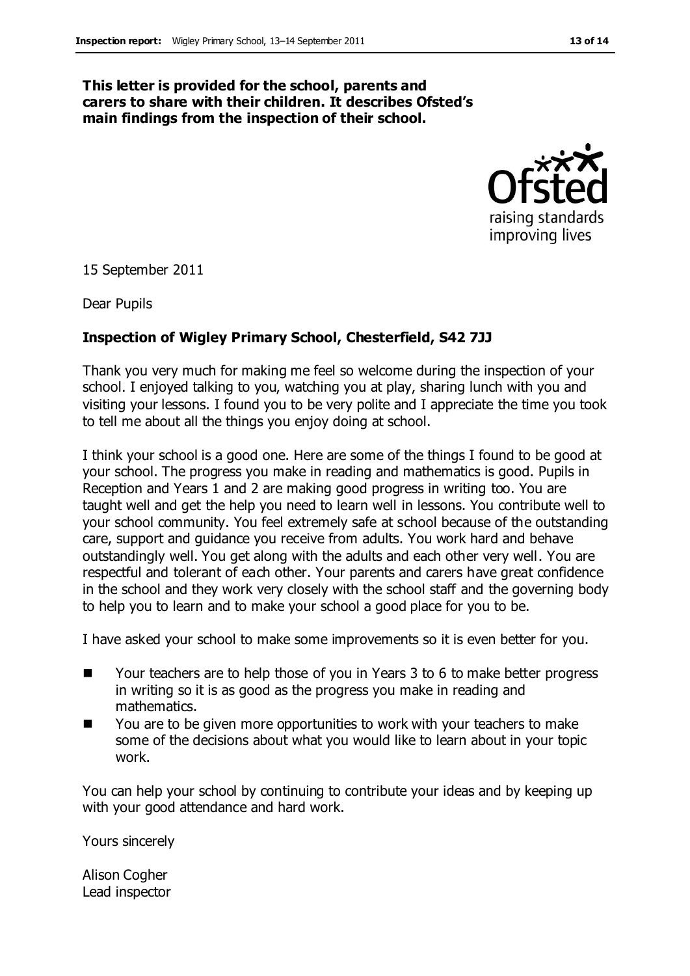#### **This letter is provided for the school, parents and carers to share with their children. It describes Ofsted's main findings from the inspection of their school.**



15 September 2011

Dear Pupils

#### **Inspection of Wigley Primary School, Chesterfield, S42 7JJ**

Thank you very much for making me feel so welcome during the inspection of your school. I enjoyed talking to you, watching you at play, sharing lunch with you and visiting your lessons. I found you to be very polite and I appreciate the time you took to tell me about all the things you enjoy doing at school.

I think your school is a good one. Here are some of the things I found to be good at your school. The progress you make in reading and mathematics is good. Pupils in Reception and Years 1 and 2 are making good progress in writing too. You are taught well and get the help you need to learn well in lessons. You contribute well to your school community. You feel extremely safe at school because of the outstanding care, support and guidance you receive from adults. You work hard and behave outstandingly well. You get along with the adults and each other very well. You are respectful and tolerant of each other. Your parents and carers have great confidence in the school and they work very closely with the school staff and the governing body to help you to learn and to make your school a good place for you to be.

I have asked your school to make some improvements so it is even better for you.

- Your teachers are to help those of you in Years 3 to 6 to make better progress in writing so it is as good as the progress you make in reading and mathematics.
- You are to be given more opportunities to work with your teachers to make some of the decisions about what you would like to learn about in your topic work.

You can help your school by continuing to contribute your ideas and by keeping up with your good attendance and hard work.

Yours sincerely

Alison Cogher Lead inspector